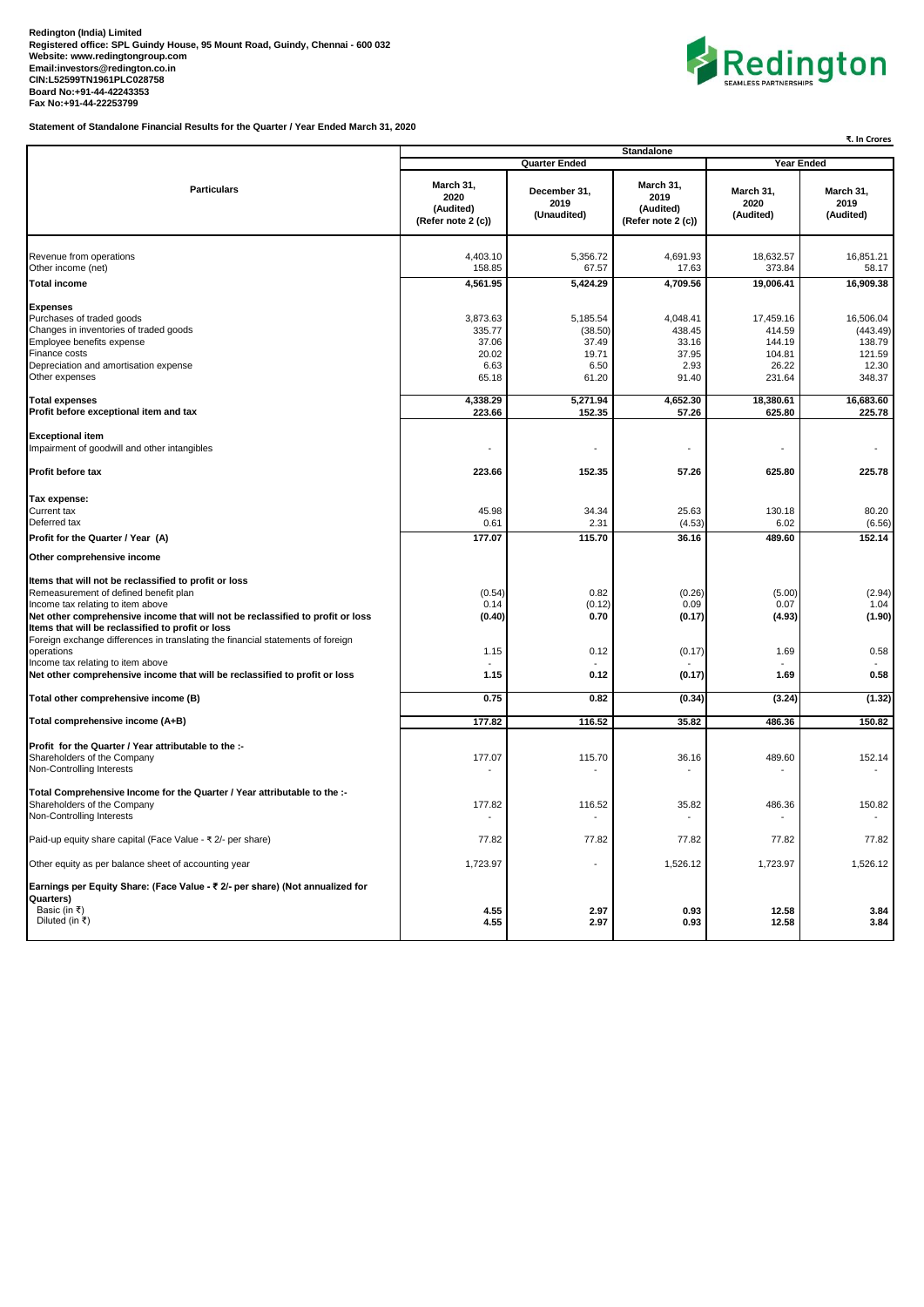

**Statement of Standalone Financial Results for the Quarter / Year Ended March 31, 2020**

|                                                                                                                                                                                                        | <b>Standalone</b><br><b>Quarter Ended</b>             |                                                        |                                                       | <b>Year Ended</b>                                          |                                                              |  |
|--------------------------------------------------------------------------------------------------------------------------------------------------------------------------------------------------------|-------------------------------------------------------|--------------------------------------------------------|-------------------------------------------------------|------------------------------------------------------------|--------------------------------------------------------------|--|
| <b>Particulars</b>                                                                                                                                                                                     | March 31,<br>2020<br>(Audited)<br>(Refer note 2 (c))  | December 31,<br>2019<br>(Unaudited)                    | March 31,<br>2019<br>(Audited)<br>(Refer note 2 (c))  | March 31,<br>2020<br>(Audited)                             | March 31,<br>2019<br>(Audited)                               |  |
| Revenue from operations<br>Other income (net)                                                                                                                                                          | 4,403.10<br>158.85                                    | 5,356.72<br>67.57                                      | 4,691.93<br>17.63                                     | 18,632.57<br>373.84                                        | 16,851.21<br>58.17                                           |  |
| <b>Total income</b>                                                                                                                                                                                    | 4,561.95                                              | 5,424.29                                               | 4,709.56                                              | 19,006.41                                                  | 16,909.38                                                    |  |
| <b>Expenses</b><br>Purchases of traded goods<br>Changes in inventories of traded goods<br>Employee benefits expense<br><b>Finance costs</b><br>Depreciation and amortisation expense<br>Other expenses | 3,873.63<br>335.77<br>37.06<br>20.02<br>6.63<br>65.18 | 5,185.54<br>(38.50)<br>37.49<br>19.71<br>6.50<br>61.20 | 4,048.41<br>438.45<br>33.16<br>37.95<br>2.93<br>91.40 | 17,459.16<br>414.59<br>144.19<br>104.81<br>26.22<br>231.64 | 16,506.04<br>(443.49)<br>138.79<br>121.59<br>12.30<br>348.37 |  |
| <b>Total expenses</b><br>Profit before exceptional item and tax                                                                                                                                        | 4,338.29<br>223.66                                    | 5,271.94<br>152.35                                     | 4,652.30<br>57.26                                     | 18,380.61<br>625.80                                        | 16,683.60<br>225.78                                          |  |
| <b>Exceptional item</b><br>Impairment of goodwill and other intangibles                                                                                                                                |                                                       |                                                        |                                                       |                                                            |                                                              |  |
| Profit before tax                                                                                                                                                                                      | 223.66                                                | 152.35                                                 | 57.26                                                 | 625.80                                                     | 225.78                                                       |  |
| Tax expense:<br>Current tax<br>Deferred tax<br>Profit for the Quarter / Year (A)                                                                                                                       | 45.98<br>0.61<br>177.07                               | 34.34<br>2.31<br>115.70                                | 25.63<br>(4.53)<br>36.16                              | 130.18<br>6.02<br>489.60                                   | 80.20<br>(6.56)<br>152.14                                    |  |
|                                                                                                                                                                                                        |                                                       |                                                        |                                                       |                                                            |                                                              |  |
| Other comprehensive income<br>Items that will not be reclassified to profit or loss<br>Remeasurement of defined benefit plan                                                                           | (0.54)                                                | 0.82                                                   | (0.26)                                                | (5.00)                                                     | (2.94)                                                       |  |
| Income tax relating to item above<br>Net other comprehensive income that will not be reclassified to profit or loss<br>Items that will be reclassified to profit or loss                               | 0.14<br>(0.40)                                        | (0.12)<br>0.70                                         | 0.09<br>(0.17)                                        | 0.07<br>(4.93)                                             | 1.04<br>(1.90)                                               |  |
| Foreign exchange differences in translating the financial statements of foreign<br>operations<br>Income tax relating to item above                                                                     | 1.15                                                  | 0.12                                                   | (0.17)                                                | 1.69                                                       | 0.58                                                         |  |
| Net other comprehensive income that will be reclassified to profit or loss                                                                                                                             | 1.15                                                  | 0.12                                                   | (0.17)                                                | 1.69                                                       | 0.58                                                         |  |
| Total other comprehensive income (B)                                                                                                                                                                   | 0.75                                                  | 0.82                                                   | (0.34)                                                | (3.24)                                                     | (1.32)                                                       |  |
| Total comprehensive income (A+B)                                                                                                                                                                       | 177.82                                                | 116.52                                                 | 35.82                                                 | 486.36                                                     | 150.82                                                       |  |
| Profit for the Quarter / Year attributable to the :-<br>Shareholders of the Company<br>Non-Controlling Interests                                                                                       | 177.07                                                | 115.70                                                 | 36.16                                                 | 489.60                                                     | 152.14                                                       |  |
| Total Comprehensive Income for the Quarter / Year attributable to the :-<br>Shareholders of the Company<br>Non-Controlling Interests                                                                   | 177.82                                                | 116.52                                                 | 35.82                                                 | 486.36                                                     | 150.82                                                       |  |
| Paid-up equity share capital (Face Value - ₹ 2/- per share)                                                                                                                                            | 77.82                                                 | 77.82                                                  | 77.82                                                 | 77.82                                                      | 77.82                                                        |  |
| Other equity as per balance sheet of accounting year                                                                                                                                                   | 1,723.97                                              |                                                        | 1,526.12                                              | 1,723.97                                                   | 1,526.12                                                     |  |
| Earnings per Equity Share: (Face Value - ₹ 2/- per share) (Not annualized for<br>Quarters)<br>Basic (in ₹)<br>Diluted (in ₹)                                                                           | 4.55<br>4.55                                          | 2.97<br>2.97                                           | 0.93<br>0.93                                          | 12.58<br>12.58                                             | 3.84<br>3.84                                                 |  |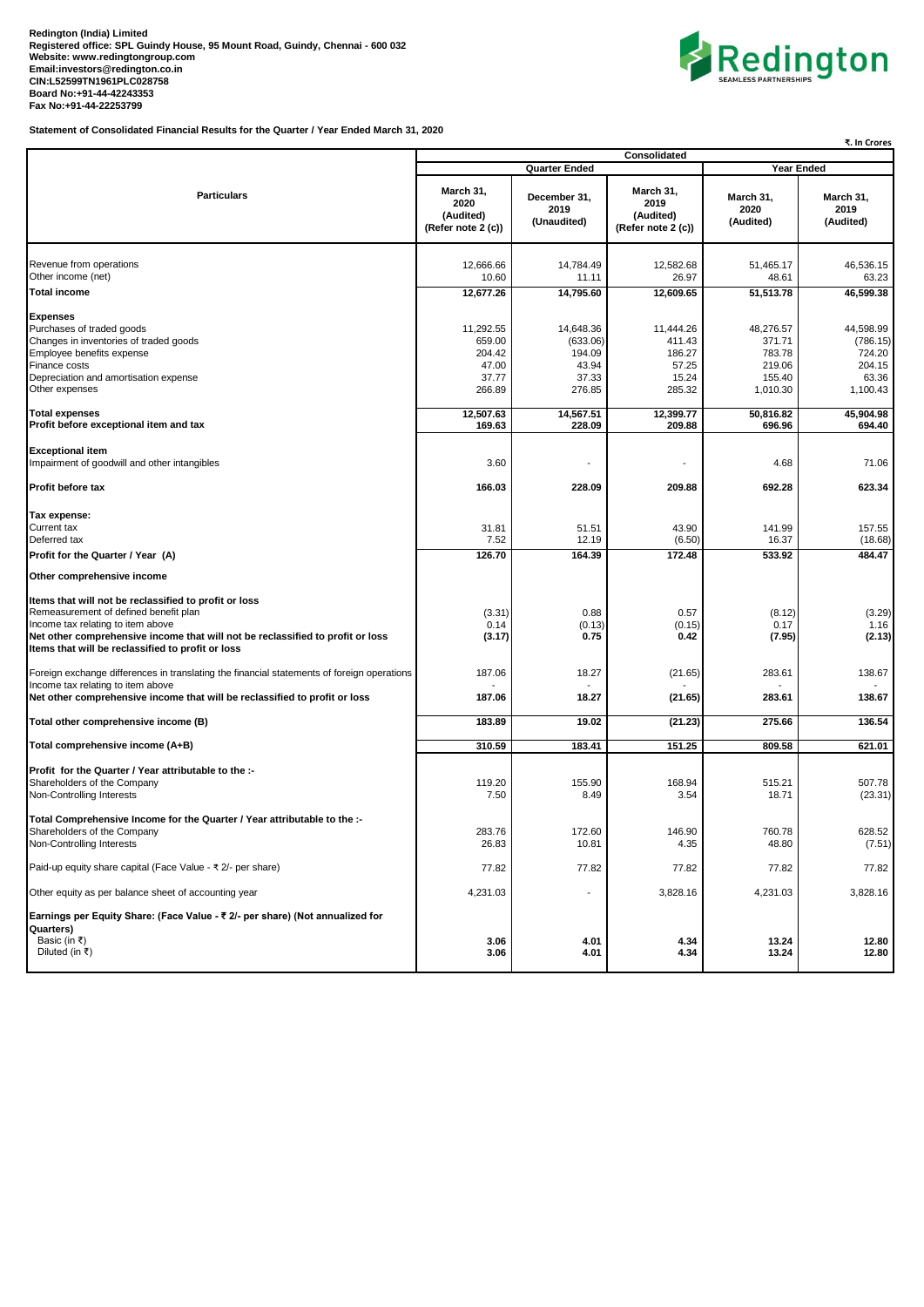

**Statement of Consolidated Financial Results for the Quarter / Year Ended March 31, 2020**

|                                                                                                                                                                                                                                                                                                                                                                          | ₹. In Crores                                              |                                                             |                                                           |                                                               |                                                                |
|--------------------------------------------------------------------------------------------------------------------------------------------------------------------------------------------------------------------------------------------------------------------------------------------------------------------------------------------------------------------------|-----------------------------------------------------------|-------------------------------------------------------------|-----------------------------------------------------------|---------------------------------------------------------------|----------------------------------------------------------------|
|                                                                                                                                                                                                                                                                                                                                                                          | Consolidated<br><b>Quarter Ended</b><br>Year Ended        |                                                             |                                                           |                                                               |                                                                |
| <b>Particulars</b>                                                                                                                                                                                                                                                                                                                                                       | March 31,<br>2020<br>(Audited)<br>(Refer note 2 (c))      | December 31,<br>2019<br>(Unaudited)                         | March 31,<br>2019<br>(Audited)<br>(Refer note 2 (c))      | March 31,<br>2020<br>(Audited)                                | March 31,<br>2019<br>(Audited)                                 |
| Revenue from operations<br>Other income (net)<br><b>Total income</b>                                                                                                                                                                                                                                                                                                     | 12,666.66<br>10.60<br>12,677.26                           | 14,784.49<br>11.11<br>14,795.60                             | 12,582.68<br>26.97<br>12,609.65                           | 51,465.17<br>48.61<br>51,513.78                               | 46,536.15<br>63.23<br>46,599.38                                |
| <b>Expenses</b><br>Purchases of traded goods<br>Changes in inventories of traded goods<br>Employee benefits expense<br>Finance costs<br>Depreciation and amortisation expense<br>Other expenses                                                                                                                                                                          | 11,292.55<br>659.00<br>204.42<br>47.00<br>37.77<br>266.89 | 14,648.36<br>(633.06)<br>194.09<br>43.94<br>37.33<br>276.85 | 11,444.26<br>411.43<br>186.27<br>57.25<br>15.24<br>285.32 | 48,276.57<br>371.71<br>783.78<br>219.06<br>155.40<br>1,010.30 | 44,598.99<br>(786.15)<br>724.20<br>204.15<br>63.36<br>1,100.43 |
| <b>Total expenses</b><br>Profit before exceptional item and tax                                                                                                                                                                                                                                                                                                          | 12,507.63<br>169.63                                       | 14,567.51<br>228.09                                         | 12,399.77<br>209.88                                       | 50,816.82<br>696.96                                           | 45,904.98<br>694.40                                            |
| <b>Exceptional item</b><br>Impairment of goodwill and other intangibles                                                                                                                                                                                                                                                                                                  | 3.60                                                      | ä,                                                          |                                                           | 4.68                                                          | 71.06                                                          |
| Profit before tax                                                                                                                                                                                                                                                                                                                                                        | 166.03                                                    | 228.09                                                      | 209.88                                                    | 692.28                                                        | 623.34                                                         |
| Tax expense:<br>Current tax<br>Deferred tax<br>Profit for the Quarter / Year (A)                                                                                                                                                                                                                                                                                         | 31.81<br>7.52<br>126.70                                   | 51.51<br>12.19<br>164.39                                    | 43.90<br>(6.50)<br>172.48                                 | 141.99<br>16.37<br>533.92                                     | 157.55<br>(18.68)<br>484.47                                    |
| Other comprehensive income                                                                                                                                                                                                                                                                                                                                               |                                                           |                                                             |                                                           |                                                               |                                                                |
| Items that will not be reclassified to profit or loss<br>Remeasurement of defined benefit plan<br>Income tax relating to item above<br>Net other comprehensive income that will not be reclassified to profit or loss<br>Items that will be reclassified to profit or loss<br>Foreign exchange differences in translating the financial statements of foreign operations | (3.31)<br>0.14<br>(3.17)<br>187.06                        | 0.88<br>(0.13)<br>0.75<br>18.27                             | 0.57<br>(0.15)<br>0.42<br>(21.65)                         | (8.12)<br>0.17<br>(7.95)<br>283.61                            | (3.29)<br>1.16<br>(2.13)<br>138.67                             |
| Income tax relating to item above<br>Net other comprehensive income that will be reclassified to profit or loss                                                                                                                                                                                                                                                          | 187.06                                                    | 18.27                                                       | (21.65)                                                   | 283.61                                                        | 138.67                                                         |
| Total other comprehensive income (B)                                                                                                                                                                                                                                                                                                                                     | 183.89                                                    | 19.02                                                       | (21.23)                                                   | 275.66                                                        | 136.54                                                         |
| Total comprehensive income (A+B)                                                                                                                                                                                                                                                                                                                                         | 310.59                                                    | 183.41                                                      | 151.25                                                    | 809.58                                                        | 621.01                                                         |
| Profit for the Quarter / Year attributable to the :-<br>Shareholders of the Company<br>Non-Controlling Interests                                                                                                                                                                                                                                                         | 119.20<br>7.50                                            | 155.90<br>8.49                                              | 168.94<br>3.54                                            | 515.21<br>18.71                                               | 507.78<br>(23.31)                                              |
| Total Comprehensive Income for the Quarter / Year attributable to the :-<br>Shareholders of the Company<br>Non-Controlling Interests                                                                                                                                                                                                                                     | 283.76<br>26.83                                           | 172.60<br>10.81                                             | 146.90<br>4.35                                            | 760.78<br>48.80                                               | 628.52<br>(7.51)                                               |
| Paid-up equity share capital (Face Value - ₹ 2/- per share)                                                                                                                                                                                                                                                                                                              | 77.82                                                     | 77.82                                                       | 77.82                                                     | 77.82                                                         | 77.82                                                          |
| Other equity as per balance sheet of accounting year                                                                                                                                                                                                                                                                                                                     | 4,231.03                                                  | $\overline{a}$                                              | 3,828.16                                                  | 4,231.03                                                      | 3,828.16                                                       |
| Earnings per Equity Share: (Face Value - ₹ 2/- per share) (Not annualized for<br>Quarters)<br>Basic (in ₹)<br>Diluted (in ₹)                                                                                                                                                                                                                                             | 3.06<br>3.06                                              | 4.01<br>4.01                                                | 4.34<br>4.34                                              | 13.24<br>13.24                                                | 12.80<br>12.80                                                 |